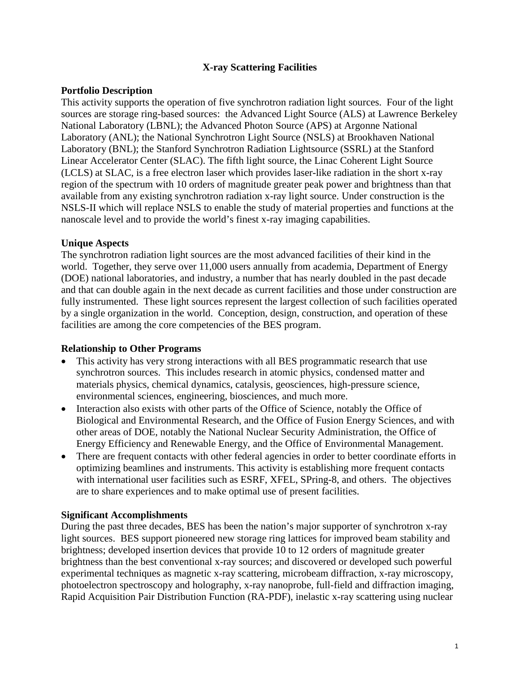# **X-ray Scattering Facilities**

## **Portfolio Description**

This activity supports the operation of five synchrotron radiation light sources. Four of the light sources are storage ring-based sources: the Advanced Light Source (ALS) at Lawrence Berkeley National Laboratory (LBNL); the Advanced Photon Source (APS) at Argonne National Laboratory (ANL); the National Synchrotron Light Source (NSLS) at Brookhaven National Laboratory (BNL); the Stanford Synchrotron Radiation Lightsource (SSRL) at the Stanford Linear Accelerator Center (SLAC). The fifth light source, the Linac Coherent Light Source (LCLS) at SLAC, is a free electron laser which provides laser-like radiation in the short x-ray region of the spectrum with 10 orders of magnitude greater peak power and brightness than that available from any existing synchrotron radiation x-ray light source. Under construction is the NSLS-II which will replace NSLS to enable the study of material properties and functions at the nanoscale level and to provide the world's finest x-ray imaging capabilities.

## **Unique Aspects**

The synchrotron radiation light sources are the most advanced facilities of their kind in the world. Together, they serve over 11,000 users annually from academia, Department of Energy (DOE) national laboratories, and industry, a number that has nearly doubled in the past decade and that can double again in the next decade as current facilities and those under construction are fully instrumented. These light sources represent the largest collection of such facilities operated by a single organization in the world. Conception, design, construction, and operation of these facilities are among the core competencies of the BES program.

### **Relationship to Other Programs**

- This activity has very strong interactions with all BES programmatic research that use synchrotron sources. This includes research in atomic physics, condensed matter and materials physics, chemical dynamics, catalysis, geosciences, high-pressure science, environmental sciences, engineering, biosciences, and much more.
- Interaction also exists with other parts of the Office of Science, notably the Office of Biological and Environmental Research, and the Office of Fusion Energy Sciences, and with other areas of DOE, notably the National Nuclear Security Administration, the Office of Energy Efficiency and Renewable Energy, and the Office of Environmental Management.
- There are frequent contacts with other federal agencies in order to better coordinate efforts in optimizing beamlines and instruments. This activity is establishing more frequent contacts with international user facilities such as ESRF, XFEL, SPring-8, and others. The objectives are to share experiences and to make optimal use of present facilities.

### **Significant Accomplishments**

During the past three decades, BES has been the nation's major supporter of synchrotron x-ray light sources. BES support pioneered new storage ring lattices for improved beam stability and brightness; developed insertion devices that provide 10 to 12 orders of magnitude greater brightness than the best conventional x-ray sources; and discovered or developed such powerful experimental techniques as magnetic x-ray scattering, microbeam diffraction, x-ray microscopy, photoelectron spectroscopy and holography, x-ray nanoprobe, full-field and diffraction imaging, Rapid Acquisition Pair Distribution Function (RA-PDF), inelastic x-ray scattering using nuclear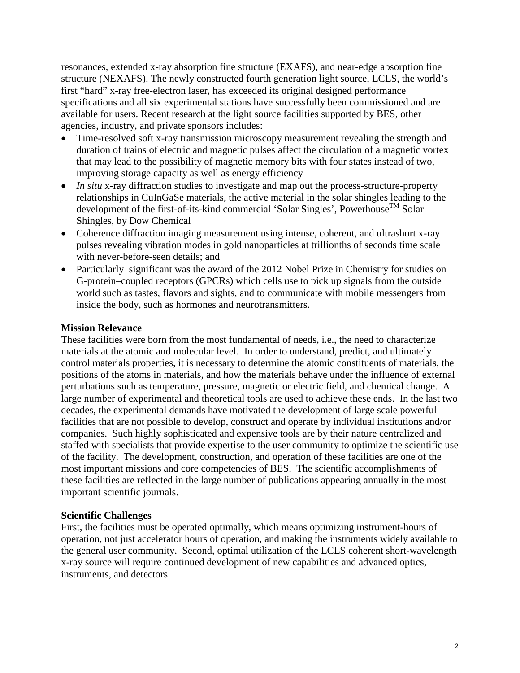resonances, extended x-ray absorption fine structure (EXAFS), and near-edge absorption fine structure (NEXAFS). The newly constructed fourth generation light source, LCLS, the world's first "hard" x-ray free-electron laser, has exceeded its original designed performance specifications and all six experimental stations have successfully been commissioned and are available for users. Recent research at the light source facilities supported by BES, other agencies, industry, and private sponsors includes:

- Time-resolved soft x-ray transmission microscopy measurement revealing the strength and duration of trains of electric and magnetic pulses affect the circulation of a magnetic vortex that may lead to the possibility of magnetic memory bits with four states instead of two, improving storage capacity as well as energy efficiency
- *In situ* x-ray diffraction studies to investigate and map out the process-structure-property relationships in CuInGaSe materials, the active material in the solar shingles leading to the development of the first-of-its-kind commercial 'Solar Singles', Powerhouse<sup>TM</sup> Solar Shingles, by Dow Chemical
- Coherence diffraction imaging measurement using intense, coherent, and ultrashort x-ray pulses revealing vibration modes in gold nanoparticles at trillionths of seconds time scale with never-before-seen details; and
- Particularly significant was the award of the 2012 Nobel Prize in Chemistry for studies on G-protein–coupled receptors (GPCRs) which cells use to pick up signals from the outside world such as tastes, flavors and sights, and to communicate with mobile messengers from inside the body, such as hormones and neurotransmitters.

## **Mission Relevance**

These facilities were born from the most fundamental of needs, i.e., the need to characterize materials at the atomic and molecular level. In order to understand, predict, and ultimately control materials properties, it is necessary to determine the atomic constituents of materials, the positions of the atoms in materials, and how the materials behave under the influence of external perturbations such as temperature, pressure, magnetic or electric field, and chemical change. A large number of experimental and theoretical tools are used to achieve these ends. In the last two decades, the experimental demands have motivated the development of large scale powerful facilities that are not possible to develop, construct and operate by individual institutions and/or companies. Such highly sophisticated and expensive tools are by their nature centralized and staffed with specialists that provide expertise to the user community to optimize the scientific use of the facility. The development, construction, and operation of these facilities are one of the most important missions and core competencies of BES. The scientific accomplishments of these facilities are reflected in the large number of publications appearing annually in the most important scientific journals.

### **Scientific Challenges**

First, the facilities must be operated optimally, which means optimizing instrument-hours of operation, not just accelerator hours of operation, and making the instruments widely available to the general user community. Second, optimal utilization of the LCLS coherent short-wavelength x-ray source will require continued development of new capabilities and advanced optics, instruments, and detectors.